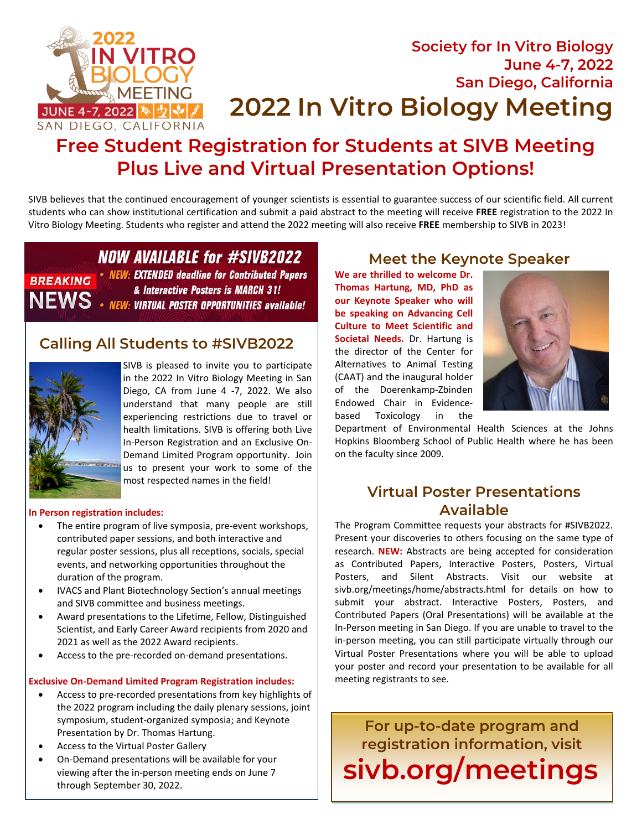

# **Society for In Vitro Biology June 4-7, 2022 San Diego, California 2022 In Vitro Biology Meeting**

# **Free Student Registration for Students at SIVB Meeting Plus Live and Virtual Presentation Options!**

SIVB believes that the continued encouragement of younger scientists is essential to guarantee success of our scientific field. All current students who can show institutional certification and submit a paid abstract to the meeting will receive **FREE** registration to the 2022 In Vitro Biology Meeting. Students who register and attend the 2022 meeting will also receive **FREE** membership to SIVB in 2023!

### **NOW AVAILABLE for #SIVB2022 NEW: EXTENDED deadline for Contributed Papers** & Interactive Posters is MARCH 31! **NEWS.**

**NEW: VIRTUAL POSTER OPPORTUNITIES available!** 

### **Calling All Students to #SIVB2022**



**BREAKING** 

SIVB is pleased to invite you to participate in the 2022 In Vitro Biology Meeting in San Diego, CA from June 4 -7, 2022. We also understand that many people are still experiencing restrictions due to travel or health limitations. SIVB is offering both Live In-Person Registration and an Exclusive On-Demand Limited Program opportunity. Join us to present your work to some of the most respected names in the field!

#### **In Person registration includes:**

- The entire program of live symposia, pre-event workshops, contributed paper sessions, and both interactive and regular poster sessions, plus all receptions, socials, special events, and networking opportunities throughout the duration of the program.
- IVACS and Plant Biotechnology Section's annual meetings and SIVB committee and business meetings.
- Award presentations to the Lifetime, Fellow, Distinguished Scientist, and Early Career Award recipients from 2020 and 2021 as well as the 2022 Award recipients.
- Access to the pre-recorded on-demand presentations.

#### **Exclusive On-Demand Limited Program Registration includes:**

- Access to pre-recorded presentations from key highlights of the 2022 program including the daily plenary sessions, joint symposium, student-organized symposia; and Keynote Presentation by Dr. Thomas Hartung.
- Access to the Virtual Poster Gallery
- On-Demand presentations will be available for your viewing after the in-person meeting ends on June 7 through September 30, 2022.

### **Meet the Keynote Speaker**

**We are thrilled to welcome Dr. Thomas Hartung, MD, PhD as our Keynote Speaker who will be speaking on Advancing Cell Culture to Meet Scientific and Societal Needs.** Dr. Hartung is the director of the Center for Alternatives to Animal Testing (CAAT) and the inaugural holder of the Doerenkamp-Zbinden Endowed Chair in Evidencebased Toxicology in the



Department of Environmental Health Sciences at the Johns Hopkins Bloomberg School of Public Health where he has been on the faculty since 2009.

### **Virtual Poster Presentations Available**

The Program Committee requests your abstracts for #SIVB2022. Present your discoveries to others focusing on the same type of research. **NEW:** Abstracts are being accepted for consideration as Contributed Papers, Interactive Posters, Posters, Virtual Posters, and Silent Abstracts. Visit our website at sivb.org/meetings/home/abstracts.html for details on how to submit your abstract. Interactive Posters, Posters, and Contributed Papers (Oral Presentations) will be available at the In-Person meeting in San Diego. If you are unable to travel to the in-person meeting, you can still participate virtually through our Virtual Poster Presentations where you will be able to upload your poster and record your presentation to be available for all meeting registrants to see.

**For up-to-date program and registration information, visit sivb.org/meetings**